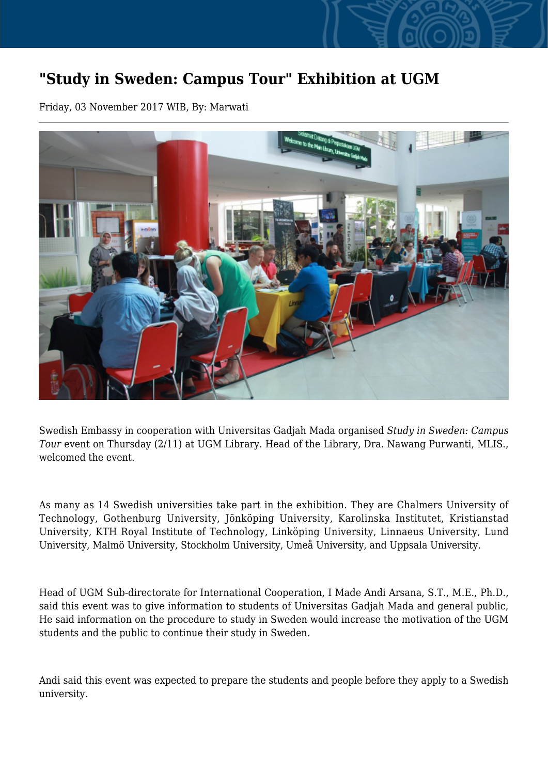## **"Study in Sweden: Campus Tour" Exhibition at UGM**

Friday, 03 November 2017 WIB, By: Marwati



Swedish Embassy in cooperation with Universitas Gadjah Mada organised *Study in Sweden: Campus Tour* event on Thursday (2/11) at UGM Library. Head of the Library, Dra. Nawang Purwanti, MLIS., welcomed the event.

As many as 14 Swedish universities take part in the exhibition. They are Chalmers University of Technology, Gothenburg University, Jönköping University, Karolinska Institutet, Kristianstad University, KTH Royal Institute of Technology, Linköping University, Linnaeus University, Lund University, Malmö University, Stockholm University, Umeå University, and Uppsala University.

Head of UGM Sub-directorate for International Cooperation, I Made Andi Arsana, S.T., M.E., Ph.D., said this event was to give information to students of Universitas Gadjah Mada and general public, He said information on the procedure to study in Sweden would increase the motivation of the UGM students and the public to continue their study in Sweden.

Andi said this event was expected to prepare the students and people before they apply to a Swedish university.